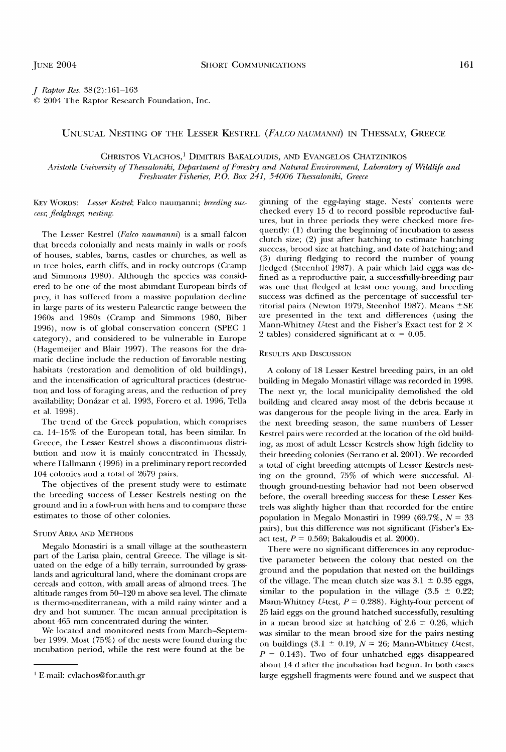**J RaptorRes. 38(2):161-163 ¸ 2004 The Raptor Research Foundation, Inc.** 

## **UNUSUAL NESTING OF THE LESSER KESTREL (FALCO NAUMANNI) IN THESSALY, GREECE**

**CHRISTOS VLACHOS, 1 DIMITRIS BAKALOUDIS, AND EVANGELOS CHATZINIKOS** 

Aristotle University of Thessaloniki, Department of Forestry and Natural Environment, Laboratory of Wildlife and **Freshwater Fisheries, P O. Box 241, 54006 Thessaloniki, Greece** 

KEY WORDS: Lesser Kestrel; Falco naumanni; breeding suc**cess; fledglings; nesting.** 

The Lesser Kestrel (Falco naumanni) is a small falcon **that breeds colonially and nests mainly in walls or roofs of houses, stables, barns, castles or churches, as well as**   $n$  tree holes, earth cliffs, and in rocky outcrops (Cramp and Simmons 1980). Although the species was consid**ered to be one of the most abundant European birds of**  prey, it has suffered from a massive population decline **in large parts of its western Palearctic range between the 1960s and 1980s (Cramp and Simmons 1980, Biber 1996), now is of global conservation concern (SPEC 1 category), and considered to be vulnerable in Europe (Hagemeijer and Blair 1997). The reasons for the dra**matic decline include the reduction of favorable nesting **habitats (restoration and demolition of old buildings), and the intensification of agricultural practices (destruc**tion and loss of foraging areas, and the reduction of prey **availability; Donfizar et al. 1993, Forero et al. 1996, Tella et al. 1998).** 

**The trend of the Greek population, which comprises ca. 14--15% of the European total, has been similar. In Greece, the Lesser Kestrel shows a discontinuous distribution and now it is mainly concentrated in Thessaly, where Hallmann (1996) in a preliminary report recorded 104 colonies and a total of 2679 pairs.** 

**The objectives of the present study were to estimate the breeding success of Lesser Kestrels nesting on the**  ground and in a fowl-run with hens and to compare these **estimates to those of other colonies.** 

#### **STUDY AREA AND METHODS**

**Megalo Monastiri is a small village at the southeastern part of the Larisa plain, central Greece. The village is sit**uated on the edge of a hilly terrain, surrounded by grass**lands and agricultural land, where the dominant crops are cereals and cotton, with small areas of almond trees. The altitude ranges from 50-120 m above sea level. The climate •s thermo-mediterranean, with a mild rainy winter and a dry and hot summer. The mean annual precipitation is about 465 mm concentrated during the winter.** 

**We located and monitored nests from March-Septem**ber 1999. Most (75%) of the nests were found during the incubation period, while the rest were found at the be**ginning of the egg-laying stage. Nests' contents were**  checked every 15 d to record possible reproductive fail**ures, but in three periods they were checked more quently: (1) during the beginning of incubation to assess clutch size; (2) just after hatching to estimate hatching success, brood size at hatching, and date of hatching; and (3) during fiedging to record the number of young fledged (Steenhof 1987). A pair which laid eggs was de**fined as a reproductive pair, a successfully-breeding pair **was one that fledged at least one young, and breeding**  success was defined as the percentage of successful territorial pairs (Newton 1979, Steenhof 1987). Means  $\pm$ SE are presented in the text and differences (using the Mann-Whitney *U*-test and the Fisher's Exact test for 2  $\times$ 2 tables) considered significant at  $\alpha = 0.05$ .

### **RESULTS AND DISCUSSION**

**A colony of 18 Lesser Kestrel breeding pairs, in an old building in Megalo Monastiri village was recorded in 1998. The next yr, the local municipality demolished the old building and cleared away most of the debris because •t was dangerous for the people living in the area. Early in the next breeding season, the same numbers of Lesser Kestrel pairs were recorded at the location of the old building, as most of adult Lesser Kestrels show high fidelity to their breeding colonies (Serrano et al. 2001). We recorded a total of eight breeding attempts of Lesser Kestrels nesting on the ground, 75% of which were successful. Although ground-nesting behavior had not been observed**  before, the overall breeding success for these Lesser Kes**trels was slighfiy higher than that recorded for the entire population in Megalo Monastiri in 1999 (69.7%, N = 33 pairs), but this difference was not significant (Fisher's Exact test, P = 0.569; Bakaloudis et al. 2000).** 

**There were no significant differences in any reproductive parameter between the colony that nested on the ground and the population that nested on the buildings**  of the village. The mean clutch size was  $3.1 \pm 0.35$  eggs, similar to the population in the village  $(3.5 \pm 0.22)$ ; Mann-Whitney U-test,  $P = 0.288$ ). Eighty-four percent of **25 laid eggs on the ground hatched successfully, resulting**  in a mean brood size at hatching of  $2.6 \pm 0.26$ , which was similar to the mean brood size for the pairs nesting on buildings  $(3.1 \pm 0.19, N = 26; \text{ Mann-Whitney } U$ test,  $P = 0.143$ ). Two of four unhatched eggs disappeared **about 14 d after the incubation had begun. In both cases**  large eggshell fragments were found and we suspect that

**E-mail: cvlachos@for. auth.gr**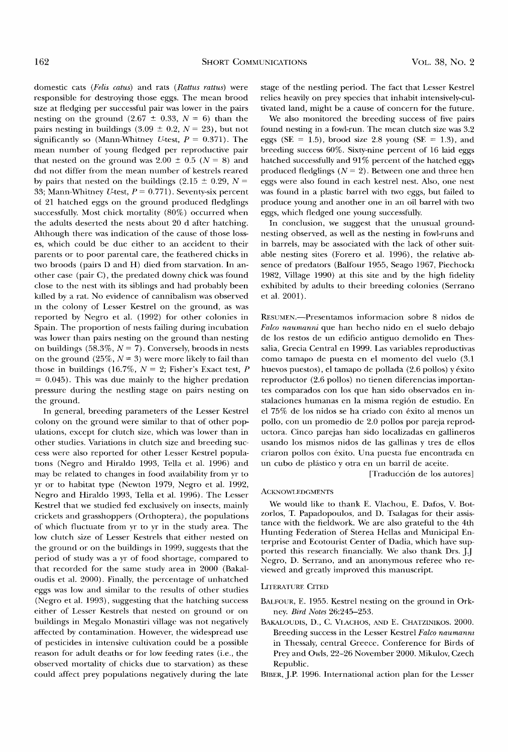**domestic cats (Felis catus) and rats (Rattus rattus) were responsible for destroying those eggs. The mean brood sxze at fledging per successful pair was lower in the pairs**  nesting on the ground  $(2.67 \pm 0.33, N = 6)$  than the pairs nesting in buildings  $(3.09 \pm 0.2, N = 23)$ , but not significantly so (Mann-Whitney *U*-test,  $P = 0.371$ ). The **mean number of young fledged per reproductive pair**  that nested on the ground was  $2.00 \pm 0.5$  ( $N = 8$ ) and did not differ from the mean number of kestrels reared by pairs that nested on the buildings  $(2.15 \pm 0.29, N =$ 33; Mann-Whitney *U*-test,  $P = 0.771$ . Seventy-six percent **of 21 hatched eggs on the ground produced fledglings successfully. Most chick mortality (80%) occurred when the adults deserted the nests about 20 d after hatching. Although there was indication of the cause of those losses, which could be due either to an accident to their**  parents or to poor parental care, the feathered chicks in **two broods (pairs D and H) died from starvation. In another case (pair C), the predated downy chick was found close to the nest with its siblings and had probably been ktlled by a rat. No evidence of cannibalism was observed •n the colony of Lesser Kestrel on the ground, as was reported by Negro et al. (1992) for other colonies in Spain. The proportion of nests failing during incubation was lower than pairs nesting on the ground than nesting**  on buildings  $(58.3\%, N = 7)$ . Conversely, broods in nests on the ground  $(25\%, N = 3)$  were more likely to fail than those in buildings (16.7%,  $N = 2$ ; Fisher's Exact test, P **= 0.045). This was due mainly to the higher predation pressure during the nestling stage on pairs nesting on the ground.** 

**In general, breeding parameters of the Lesser Kestrel colony on the ground were similar to that of other populations, except for clutch size, which was lower than in other studies. Variations in clutch size and breeding success were also reported for other Lesser Kestrel populanons (Negro and Hiraldo 1993, Tella et al. 1996) and may be related to changes in food availability from yr to yr or to habitat type (Newton 1979, Negro et al. 1992, Negro and Hiraldo 1993, Tella et al. 1996). The Lesser Kestrel that we studied fed exclusively on insects, mainly crickets and grasshoppers (Orthoptera), the populations**  of which fluctuate from yr to yr in the study area. The **low clutch size of Lesser Kestrels that either nested on the ground or on the buildings in 1999, suggests that the period of study was a yr of food shortage, compared to that recorded for the same study area in 2000 (Bakaloudis et al. 2000). Finally, the percentage of unhatched eggs was low and similar to the results of other studies (Negro et al. 1993), suggesting that the hatching success either of Lesser Kestrels that nested on ground or on buildings in Megalo Monastiri village was not negatively affected by contamination. However, the widespread use of pesticides in intensive cultivation could be a possible reason for adult deaths or for low feeding rates (i.e., the observed mortality of chicks due to starvation) as these**  could affect prey populations negatively during the late

**stage of the nestling period. The fact that Lesser Kestrel relies heavily on prey species that inhabit intensively-cultivated land, might be a cause of concern for the future.** 

**We also monitored the breeding success of five pairs found nesting in a fowl-run. The mean clutch size was 3.2**  eggs (SE =  $1.5$ ), brood size 2.8 young (SE = 1.3), and **breeding success 60%. Sixty-nine percent of 16 laid eggs hatched successfully and 91% percent of the hatched eggs**  produced fledglings  $(N = 2)$ . Between one and three hen **eggs were also found in each kestrel nest. Also, one nest was found in a plastic barrel with two eggs, but failed to produce young and another one in an oil barrel with two eggs, which fledged one young successfully.** 

**In conclusion, we suggest that the unusual groundnesting observed, as well as the nesting in fowl-runs and in barrels, may be associated with the lack of other suitable nesting sites (Forero et al. 1996), the relative ab**sence of predators (Balfour 1955, Seago 1967, Piechock<sub>1</sub> **1982, Village 1990) at this site and by the high fidelity exhibited by adults to their breeding colonies (Serrano et al. 2001).** 

**RESUMEN.--Presentamos informacion sobre 8 nidos de Falco naumanni que han hecho nido en el suelo debajo de los restos de un edificio antiguo demolido en Thessalia, Grecia Central en 1999. Las variables reproductivas como tamapo de puesta en el momento del vuelo (3.1 huevos puestos), el tamapo de pollada (2.6 pollos) y 6xito**  reproductor (2.6 pollos) no tienen diferencias importan**tes comparados con los que han sido observados en instalaciones humanas en la misma regi6n de estudio. En el 75% de los nidos se ha criado con 6xito al menos un**  pollo, con un promedio de 2.0 pollos por pareja reprod**uctora. Cinco parejas han sido localizadas en gallineros usando los mismos nidos de las gallinas y tres de ellos**  criaron pollos con éxito. Una puesta fue encontrada en un cubo de plástico y otra en un barril de aceite.

**[Traducci6n de los autores]** 

## **ACKNOWI,EDGMENTS**

We would like to thank E. Vlachou, E. Dafos, V. Bot**zorlos, T. Papadopoulos, and D. Tsalagas for their assistance with the fieldwork. We are also grateful to the 4th Hunting Federation of Sterea Hellas and Municipal Enterprise and Ecotourist Center of Dadia, which have sup**ported this research financially. We also thank Drs. J.J **Negro, D. Serrano, and an anonymous referee who reviewed and greatly improved this manuscript.** 

#### **LITERATURE CITED**

- **BALFOUR, E. 1955. Kestrel nesting on the ground in Ork**ney. *Bird Notes* 26:245-253.
- BAKALOUDIS, D., C. VIACHOS, AND E. CHATZINIKOS. 2000. **Breeding success in the Lesser Kestrel Falco naumannz in Thessaly, central Greece. Conference for Birds of Prey and Owls, 22-26 November 2000. Mikulov, Czech Republic.**
- BIBER, J.P. 1996. International action plan for the Lesser